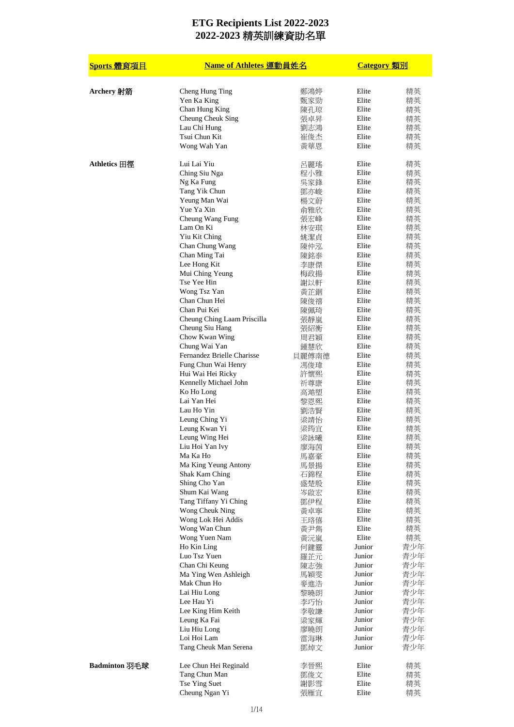| Sports 體育項目   | Name of Athletes 運動員姓名                      |              | <b>Category</b> 類別 |            |
|---------------|---------------------------------------------|--------------|--------------------|------------|
| Archery 射箭    | Cheng Hung Ting                             | 鄭鴻婷          | Elite              | 精英         |
|               | Yen Ka King                                 | 甄家勁          | Elite              | 精英         |
|               | Chan Hung King                              | 陳孔琼          | Elite              | 精英         |
|               | Cheung Cheuk Sing                           | 張卓昇          | Elite              | 精英         |
|               | Lau Chi Hung                                | 劉志鴻          | Elite              | 精英         |
|               | Tsui Chun Kit                               | 崔俊杰          | Elite              | 精英         |
|               | Wong Wah Yan                                | 黃華恩          | Elite              | 精英         |
| Athletics 田徑  | Lui Lai Yiu                                 | 呂麗瑤          | Elite              | 精英         |
|               | Ching Siu Nga                               | 程小雅          | Elite              | 精英         |
|               | Ng Ka Fung                                  | 吳家鋒          | Elite              | 精英         |
|               | Tang Yik Chun                               | 鄧亦峻          | Elite              | 精英         |
|               | Yeung Man Wai<br>Yue Ya Xin                 | 楊文蔚          | Elite<br>Elite     | 精英         |
|               | Cheung Wang Fung                            | 俞雅欣<br>張宏峰   | Elite              | 精英<br>精英   |
|               | Lam On Ki                                   | 林安琪          | Elite              | 精英         |
|               | Yiu Kit Ching                               | 姚潔貞          | Elite              | 精英         |
|               | Chan Chung Wang                             | 陳仲泓          | Elite              | 精英         |
|               | Chan Ming Tai                               | 陳銘泰          | Elite              | 精英         |
|               | Lee Hong Kit                                | 李康傑          | Elite              | 精英         |
|               | Mui Ching Yeung                             | 梅政揚          | Elite              | 精英         |
|               | Tse Yee Hin                                 | 謝以軒          | Elite              | 精英         |
|               | Wong Tsz Yan                                | 黃芷銦          | Elite              | 精英         |
|               | Chan Chun Hei                               | 陳俊禧          | Elite              | 精英         |
|               | Chan Pui Kei                                | 陳佩琦          | Elite              | 精英         |
|               | Cheung Ching Laam Priscilla                 | 張靜嵐          | Elite              | 精英         |
|               | Cheung Siu Hang                             | 張紹衡          | Elite              | 精英         |
|               | Chow Kwan Wing                              | 周君穎          | Elite<br>Elite     | 精英         |
|               | Chung Wai Yan<br>Fernandez Brielle Charisse | 鍾慧欣<br>貝麗傅南德 | Elite              | 精英<br>精英   |
|               | Fung Chun Wai Henry                         | 馮俊瑋          | Elite              | 精英         |
|               | Hui Wai Hei Ricky                           | 許懷熙          | Elite              | 精英         |
|               | Kennelly Michael John                       | 祈尊康          | Elite              | 精英         |
|               | Ko Ho Long                                  | 高澔塱          | Elite              | 精英         |
|               | Lai Yan Hei                                 | 黎恩熙          | Elite              | 精英         |
|               | Lau Ho Yin                                  | 劉浩賢          | Elite              | 精英         |
|               | Leung Ching Yi                              | 梁靖怡          | Elite              | 精英         |
|               | Leung Kwan Yi                               | 梁筠冝          | Elite              | 精英         |
|               | Leung Wing Hei                              | 梁詠曦          | Elite              | 精英         |
|               | Liu Hoi Yan Ivy                             | 廖海茵          | Elite              | 精央         |
|               | Ma Ka Ho                                    | 馬嘉豪          | Elite              | 精英         |
|               | Ma King Yeung Antony<br>Shak Kam Ching      | 馬景揚          | Elite<br>Elite     | 精英<br>精英   |
|               | Shing Cho Yan                               | 石錦程<br>盛楚殷   | Elite              | 精英         |
|               | Shum Kai Wang                               | 岑啟宏          | Elite              | 精英         |
|               | Tang Tiffany Yi Ching                       | 鄧伊程          | Elite              | 精英         |
|               | Wong Cheuk Ning                             | 黃卓寧          | Elite              | 精英         |
|               | Wong Lok Hei Addis                          | 王珞僖          | Elite              | 精英         |
|               | Wong Wan Chun                               | 黃尹雋          | Elite              | 精英         |
|               | Wong Yuen Nam                               | 黃沅嵐          | Elite              | 精英         |
|               | Ho Kin Ling                                 | 何鍵靈          | Junior             | 青少年        |
|               | Luo Tsz Yuen                                | 羅芷元          | Junior             | 青少年        |
|               | Chan Chi Keung                              | 陳志強          | Junior             | 青少年        |
|               | Ma Ying Wen Ashleigh<br>Mak Chun Ho         | 馬穎雯          | Junior             | 青少年<br>青少年 |
|               | Lai Hiu Long                                | 麥進浩          | Junior<br>Junior   | 青少年        |
|               | Lee Hau Yi                                  | 黎曉朗<br>李巧怡   | Junior             | 青少年        |
|               | Lee King Him Keith                          | 李敬謙          | Junior             | 青少年        |
|               | Leung Ka Fai                                | 梁家輝          | Junior             | 青少年        |
|               | Liu Hiu Long                                | 廖曉朗          | Junior             | 青少年        |
|               | Loi Hoi Lam                                 | 雷海琳          | Junior             | 青少年        |
|               | Tang Cheuk Man Serena                       | 鄧焯文          | Junior             | 青少年        |
| Badminton 羽毛球 | Lee Chun Hei Reginald                       | 李晉熙          | Elite              | 精英         |
|               | Tang Chun Man                               | 鄧俊文          | Elite              | 精英         |
|               | Tse Ying Suet                               | 謝影雪          | Elite              | 精英         |
|               | Cheung Ngan Yi                              | 張雁宜          | Elite              | 精英         |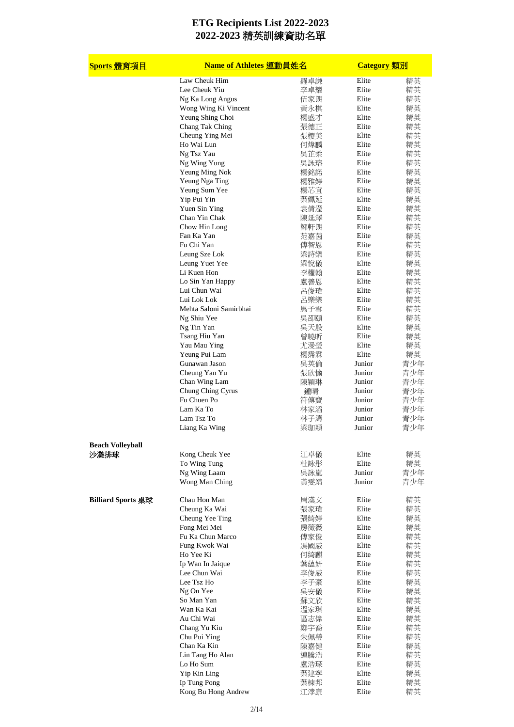| Sports 體育項目               | Name of Athletes 運動員姓名         |            | <b>Category</b> 類別 |          |
|---------------------------|--------------------------------|------------|--------------------|----------|
|                           | Law Cheuk Him                  | 羅卓謙        | Elite              | 精英       |
|                           | Lee Cheuk Yiu                  | 李卓耀        | Elite              | 精英       |
|                           | Ng Ka Long Angus               | 伍家朗        | Elite              | 精英       |
|                           | Wong Wing Ki Vincent           | 黃永棋        | Elite              | 精英       |
|                           | Yeung Shing Choi               | 楊盛才        | Elite              | 精英       |
|                           | Chang Tak Ching                | 張德正        | Elite              | 精英       |
|                           | Cheung Ying Mei                | 張櫻美        | Elite              | 精英       |
|                           | Ho Wai Lun                     | 何煒麟        | Elite              | 精英       |
|                           | Ng Tsz Yau                     | 吳芷柔        | Elite              | 精英       |
|                           | Ng Wing Yung                   | 吳詠瑢        | Elite              | 精英       |
|                           | Yeung Ming Nok                 | 楊銘諾        | Elite              | 精英       |
|                           | Yeung Nga Ting                 | 楊雅婷        | Elite              | 精英       |
|                           | Yeung Sum Yee                  | 楊芯宜        | Elite              | 精英       |
|                           | Yip Pui Yin                    | 葉姵延        | Elite              | 精英       |
|                           | Yuen Sin Ying<br>Chan Yin Chak | 袁倩瀅        | Elite<br>Elite     | 精英       |
|                           | Chow Hin Long                  | 陳延澤        | Elite              | 精英<br>精英 |
|                           | Fan Ka Yan                     | 鄒軒朗<br>范嘉茵 | Elite              |          |
|                           | Fu Chi Yan                     |            | Elite              | 精英       |
|                           | Leung Sze Lok                  | 傅智恩<br>梁詩樂 | Elite              | 精英       |
|                           | Leung Yuet Yee                 | 梁悅儀        | Elite              | 精英<br>精英 |
|                           | Li Kuen Hon                    | 李權翰        | Elite              | 精英       |
|                           | Lo Sin Yan Happy               | 盧善恩        | Elite              | 精英       |
|                           | Lui Chun Wai                   | 呂俊瑋        | Elite              | 精英       |
|                           | Lui Lok Lok                    | 呂樂樂        | Elite              | 精英       |
|                           | Mehta Saloni Samirbhai         |            | Elite              |          |
|                           |                                | 馬子雪        | Elite              | 精英<br>精英 |
|                           | Ng Shiu Yee                    | 吳卲頤        | Elite              |          |
|                           | Ng Tin Yan<br>Tsang Hiu Yan    | 吳天殷<br>曾曉昕 | Elite              | 精英<br>精英 |
|                           | Yau Mau Ying                   | 尤漫瑩        | Elite              | 精英       |
|                           | Yeung Pui Lam                  | 楊霈霖        | Elite              | 精英       |
|                           | Gunawan Jason                  | 吳英倫        | Junior             | 青少年      |
|                           | Cheung Yan Yu                  | 張欣愉        | Junior             | 青少年      |
|                           | Chan Wing Lam                  | 陳穎琳        | Junior             | 青少年      |
|                           | Chung Ching Cyrus              | 鍾晴         | Junior             | 青少年      |
|                           | Fu Chuen Po                    | 符傳寶        | Junior             | 青少年      |
|                           | Lam Ka To                      | 林家滔        | Junior             | 青少年      |
|                           | Lam Tsz To                     | 林子濤        | Junior             | 青少年      |
|                           | Liang Ka Wing                  | 梁珈穎        | Junior             | 青少年      |
|                           |                                |            |                    |          |
| <b>Beach Volleyball</b>   |                                |            |                    |          |
| 沙灘排球                      | Kong Cheuk Yee                 | 江卓儀        | Elite              | 精英       |
|                           | To Wing Tung                   | 杜詠彤        | Elite              | 精英       |
|                           | Ng Wing Laam                   | 吳詠嵐        | Junior             | 青少年      |
|                           | Wong Man Ching                 | 黃雯靖        | Junior             | 青少年      |
| <b>Billiard Sports 桌球</b> | Chau Hon Man                   | 周漢文        | Elite              | 精英       |
|                           | Cheung Ka Wai                  | 張家瑋        | Elite              | 精英       |
|                           | Cheung Yee Ting                | 張綺婷        | Elite              | 精英       |
|                           | Fong Mei Mei                   | 房薇薇        | Elite              | 精英       |
|                           | Fu Ka Chun Marco               | 傅家俊        | Elite              | 精英       |
|                           | Fung Kwok Wai                  | 馮國威        | Elite              | 精英       |
|                           | Ho Yee Ki                      | 何綺麒        | Elite              | 精英       |
|                           | Ip Wan In Jaique               | 葉蘊妍        | Elite              | 精英       |
|                           | Lee Chun Wai                   | 李俊威        | Elite              | 精英       |
|                           | Lee Tsz Ho                     | 李子豪        | Elite              | 精英       |
|                           | Ng On Yee                      | 吳安儀        | Elite              | 精英       |
|                           | So Man Yan                     | 蘇文欣        | Elite              | 精英       |
|                           | Wan Ka Kai                     | 溫家琪        | Elite              | 精英       |
|                           | Au Chi Wai                     | 區志偉        | Elite              | 精英       |
|                           | Chang Yu Kiu                   | 鄭宇喬        | Elite              | 精英       |
|                           | Chu Pui Ying                   | 朱佩瑩        | Elite              | 精英       |
|                           | Chan Ka Kin                    | 陳嘉健        | Elite              | 精英       |
|                           | Lin Tang Ho Alan               | 連騰浩        | Elite              | 精英       |
|                           | Lo Ho Sum                      | 盧浩琛        | Elite              | 精英       |
|                           | Yip Kin Ling                   | 葉建寧        | Elite              | 精英       |
|                           | Ip Tung Pong                   | 葉棟邦        | Elite              | 精英       |
|                           | Kong Bu Hong Andrew            | 江浡康        | Elite              | 精英       |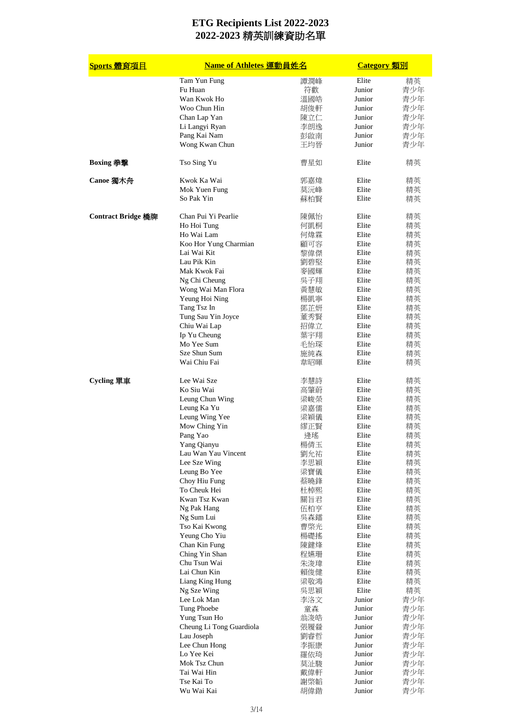| Sports 體育項目               | Name of Athletes 運動員姓名         |     | <b>Category</b> 類別 |     |
|---------------------------|--------------------------------|-----|--------------------|-----|
|                           | Tam Yun Fung                   | 譚潤峰 | Elite              | 精英  |
|                           | Fu Huan                        | 符歡  | Junior             | 青少年 |
|                           | Wan Kwok Ho                    | 溫國皓 | Junior             | 青少年 |
|                           | Woo Chun Hin                   | 胡俊軒 | Junior             | 青少年 |
|                           | Chan Lap Yan                   | 陳立仁 | Junior             | 青少年 |
|                           | Li Langyi Ryan                 | 李朗逸 | Junior             | 青少年 |
|                           | Pang Kai Nam                   | 彭啟南 | Junior             | 青少年 |
|                           | Wong Kwan Chun                 | 王均晉 | Junior             | 青少年 |
| Boxing 拳撃                 | Tso Sing Yu                    | 曹星如 | Elite              | 精英  |
| Canoe 獨木舟                 | Kwok Ka Wai                    | 郭嘉煒 | Elite              | 精英  |
|                           | Mok Yuen Fung                  | 莫沅峰 | Elite              | 精英  |
|                           | So Pak Yin                     | 蘇柏賢 | Elite              | 精英  |
| <b>Contract Bridge 橋牌</b> | Chan Pui Yi Pearlie            | 陳佩怡 | Elite              | 精英  |
|                           | Ho Hoi Tung                    | 何凱桐 | Elite              | 精英  |
|                           | Ho Wai Lam                     | 何煒霖 | Elite              | 精英  |
|                           | Koo Hor Yung Charmian          | 顧可容 | Elite              | 精英  |
|                           | Lai Wai Kit                    | 黎偉傑 | Elite              | 精英  |
|                           | Lau Pik Kin                    | 劉碧堅 | Elite              | 精英  |
|                           | Mak Kwok Fai                   | 麥國輝 | Elite              | 精英  |
|                           | Ng Chi Cheung                  | 吳子翔 | Elite              | 精英  |
|                           | Wong Wai Man Flora             | 黃慧敏 | Elite              | 精英  |
|                           | Yeung Hoi Ning                 | 楊凱寧 | Elite              | 精英  |
|                           | Tang Tsz In                    | 鄧芷妍 | Elite              | 精英  |
|                           | Tung Sau Yin Joyce             | 董秀賢 | Elite              | 精英  |
|                           | Chiu Wai Lap                   | 招偉立 | Elite              | 精英  |
|                           | Ip Yu Cheung                   | 葉宇翔 | Elite              | 精英  |
|                           | Mo Yee Sum                     | 毛怡琛 | Elite              | 精英  |
|                           | Sze Shun Sum                   | 施純森 | Elite              | 精英  |
|                           | Wai Chiu Fai                   | 韋昭暉 | Elite              | 精英  |
| Cycling 單車                | Lee Wai Sze                    | 李慧詩 | Elite              | 精英  |
|                           | Ko Siu Wai                     | 高肇蔚 | Elite              | 精英  |
|                           | Leung Chun Wing                | 梁峻榮 | Elite              | 精英  |
|                           | Leung Ka Yu                    | 梁嘉儒 | Elite              | 精英  |
|                           | Leung Wing Yee                 | 梁穎儀 | Elite              | 精英  |
|                           | Mow Ching Yin                  | 繆正賢 | Elite              | 精英  |
|                           | Pang Yao                       | 逄瑤  | Elite              | 精英  |
|                           | Yang Qianyu                    | 楊倩玉 | Elite              | 精英  |
|                           | Lau Wan Yau Vincent            | 劉允祐 | Elite              | 精英  |
|                           | Lee Sze Wing                   | 李思穎 | Elite              | 精英  |
|                           | Leung Bo Yee                   | 梁寶儀 | Elite              | 精英  |
|                           | Choy Hiu Fung                  | 蔡曉鋒 | Elite              | 精英  |
|                           | To Cheuk Hei                   | 杜棹熙 | Elite              | 精英  |
|                           | Kwan Tsz Kwan                  | 關旨君 | Elite              | 精英  |
|                           | Ng Pak Hang                    | 伍柏亨 | Elite              | 精英  |
|                           | Ng Sum Lui                     |     | Elite              |     |
|                           |                                | 吳森鐳 |                    | 精英  |
|                           | Tso Kai Kwong<br>Yeung Cho Yiu | 曹棨光 | Elite<br>Elite     | 精英  |
|                           |                                | 楊礎搖 |                    | 精英  |
|                           | Chan Kin Fung                  | 陳鍵烽 | Elite              | 精英  |
|                           | Ching Yin Shan                 | 程嬿珊 | Elite              | 精英  |
|                           | Chu Tsun Wai                   | 朱浚瑋 | Elite              | 精英  |
|                           | Lai Chun Kin                   | 賴俊健 | Elite              | 精英  |
|                           | Liang King Hung                | 梁敬鴻 | Elite              | 精英  |
|                           | Ng Sze Wing                    | 吳思穎 | Elite              | 精英  |
|                           | Lee Lok Man                    | 李洛文 | Junior             | 青少年 |
|                           | Tung Phoebe                    | 童森  | Junior             | 青少年 |
|                           | Yung Tsun Ho                   | 翁浚皓 | Junior             | 青少年 |
|                           | Cheung Li Tong Guardiola       | 張履檾 | Junior             | 青少年 |
|                           | Lau Joseph                     | 劉睿哲 | Junior             | 青少年 |
|                           | Lee Chun Hong                  | 李振康 | Junior             | 青少年 |
|                           | Lo Yee Kei                     | 羅依琦 | Junior             | 青少年 |
|                           | Mok Tsz Chun                   | 莫沚駿 | Junior             | 青少年 |
|                           | Tai Wai Hin                    | 戴偉軒 | Junior             | 青少年 |
|                           | Tse Kai To                     | 謝棨韜 | Junior             | 青少年 |
|                           | Wu Wai Kai                     | 胡偉鍇 | Junior             | 青少年 |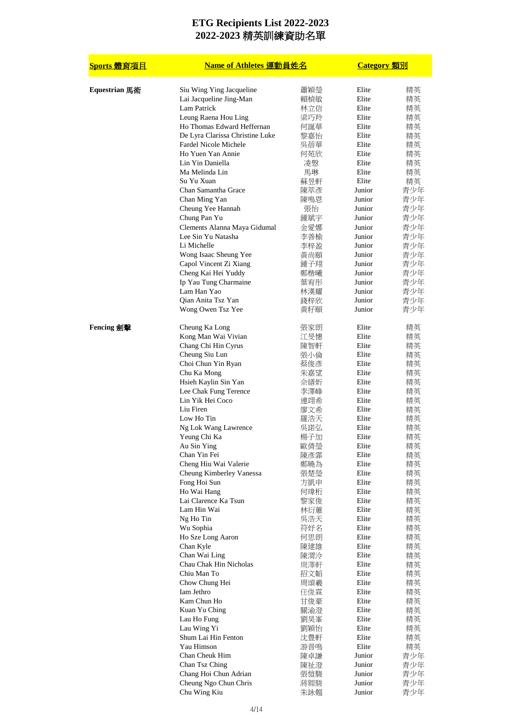| Sports 體育項目   | Name of Athletes 運動員姓名                  |            | <b>Category</b> 類別 |            |
|---------------|-----------------------------------------|------------|--------------------|------------|
| Equestrian 馬術 | Siu Wing Ying Jacqueline                | 蕭穎瑩        | Elite              | 精英         |
|               | Lai Jacqueline Jing-Man                 | 賴楨敏        | Elite              | 精英         |
|               | Lam Patrick<br>Leung Raena Hou Ling     | 林立信<br>梁巧羚 | Elite<br>Elite     | 精英<br>精英   |
|               | Ho Thomas Edward Heffernan              | 何誕華        | Elite              | 精英         |
|               | De Lyra Clarissa Christine Luke         | 黎嘉怡        | Elite              | 精英         |
|               | Fardel Nicole Michele                   | 吳蓓華        | Elite              | 精英         |
|               | Ho Yuen Yan Annie                       | 何苑欣        | Elite              | 精英         |
|               | Lin Yin Daniella                        | 凌慇         | Elite              | 精英         |
|               | Ma Melinda Lin                          | 馬琳         | Elite              | 精英         |
|               | Su Yu Xuan                              | 蘇昱軒        | Elite              | 精英         |
|               | Chan Samantha Grace<br>Chan Ming Yan    | 陳萃彥<br>陳鳴恩 | Junior<br>Junior   | 青少年<br>青少年 |
|               | Cheung Yee Hannah                       | 張怡         | Junior             | 青少年        |
|               | Chung Pan Yu                            | 鍾斌宇        | Junior             | 青少年        |
|               | Clements Alanna Maya Gidumal            | 金愛娜        | Junior             | 青少年        |
|               | Lee Sin Yu Natasha                      | 李善榆        | Junior             | 青少年        |
|               | Li Michelle                             | 李梓盈        | Junior             | 青少年        |
|               | Wong Isaac Sheung Yee                   | 黃尚頤        | Junior             | 青少年        |
|               | Capol Vincent Zi Xiang                  | 鍾子翔        | Junior             | 青少年        |
|               | Cheng Kai Hei Yuddy                     | 鄭楷曦        | Junior<br>Junior   | 青少年        |
|               | Ip Yau Tung Charmaine<br>Lam Han Yao    | 葉宥彤<br>林漢耀 | Junior             | 青少年<br>青少年 |
|               | Qian Anita Tsz Yan                      | 錢梓欣        | Junior             | 青少年        |
|               | Wong Owen Tsz Yee                       | 黃籽頤        | Junior             | 青少年        |
| Fencing 劍擊    | Cheung Ka Long                          | 張家朗        | Elite              | 精英         |
|               | Kong Man Wai Vivian                     | 江旻憓        | Elite              | 精英         |
|               | Chang Chi Hin Cyrus                     | 陳智軒        | Elite<br>Elite     | 精英         |
|               | Cheung Siu Lun<br>Choi Chun Yin Ryan    | 張小倫<br>蔡俊彥 | Elite              | 精英<br>精英   |
|               | Chu Ka Mong                             | 朱嘉望        | Elite              | 精英         |
|               | Hsieh Kaylin Sin Yan                    | 佘繕妡        | Elite              | 精英         |
|               | Lee Chak Fung Terence                   | 李澤峰        | Elite              | 精英         |
|               | Lin Yik Hei Coco                        | 連翊希        | Elite              | 精英         |
|               | Liu Firen                               | 廖文希        | Elite              | 精英         |
|               | Low Ho Tin                              | 羅浩天        | Elite              | 精英         |
|               | Ng Lok Wang Lawrence<br>Yeung Chi Ka    | 吳諾弘<br>楊子加 | Elite<br>Elite     | 精英<br>精英   |
|               | Au Sin Ying                             | 歐倩瑩        | Elite              | 精英         |
|               | Chan Yin Fei                            | 陳彥霏        | Elite              | 精英         |
|               | Cheng Hiu Wai Valerie                   | 鄭曉為        | Elite              | 精英         |
|               | Cheung Kimberley Vanessa                | 張楚瑩        | Elite              | 精英         |
|               | Fong Hoi Sun                            | 方凱申        | Elite              | 精英         |
|               | Ho Wai Hang                             | 何瑋桁        | Elite              | 精英         |
|               | Lai Clarence Ka Tsun<br>Lam Hin Wai     | 黎家俊<br>林衍蕙 | Elite<br>Elite     | 精英<br>精英   |
|               | Ng Ho Tin                               | 吳浩天        | Elite              | 精英         |
|               | Wu Sophia                               | 符妤名        | Elite              | 精英         |
|               | Ho Sze Long Aaron                       | 何思朗        | Elite              | 精英         |
|               | Chan Kyle                               | 陳建雄        | Elite              | 精英         |
|               | Chan Wai Ling                           | 陳渭泠        | Elite              | 精英         |
|               | Chau Chak Hin Nicholas                  | 周澤軒        | Elite              | 精英         |
|               | Chiu Man To                             | 招文韜        | Elite<br>Elite     | 精英         |
|               | Chow Chung Hei<br>Iam Jethro            | 周頌羲<br>任俊霖 | Elite              | 精英<br>精英   |
|               | Kam Chun Ho                             | 甘俊豪        | Elite              | 精英         |
|               | Kuan Yu Ching                           | 關渝澄        | Elite              | 精英         |
|               | Lau Ho Fung                             | 劉昊峯        | Elite              | 精英         |
|               | Lau Wing Yi                             | 劉穎怡        | Elite              | 精英         |
|               | Shum Lai Hin Fenton                     | 沈豊軒        | Elite              | 精英         |
|               | Yau Himson                              | 游晋鳴        | Elite              | 精英         |
|               | Chan Cheuk Him                          | 陳卓謙        | Junior<br>Junior   | 青少年<br>青少年 |
|               | Chan Tsz Ching<br>Chang Hoi Chun Adrian | 陳祉澄<br>張愷駿 | Junior             | 青少年        |
|               | Cheung Ngo Chun Chris                   | 蔣翱駿        | Junior             | 青少年        |
|               | Chu Wing Kiu                            | 朱詠翹        | Junior             | 青少年        |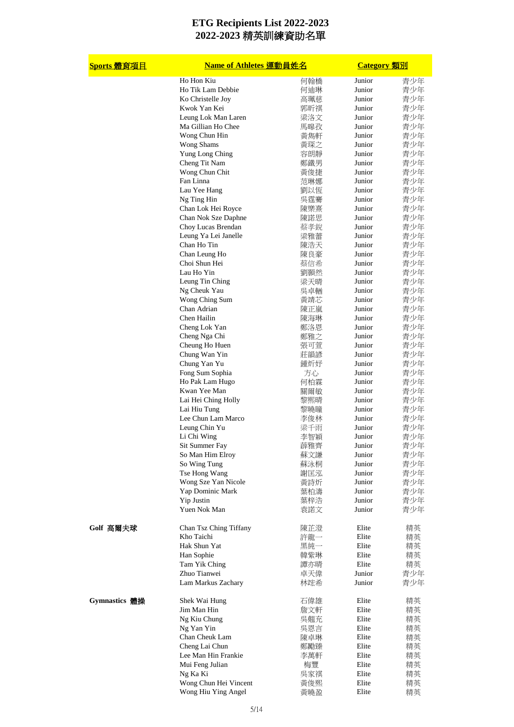| Sports 體育項目   | Name of Athletes 運動員姓名<br><b>Category</b> 類別 |                 |                  |            |
|---------------|----------------------------------------------|-----------------|------------------|------------|
|               | Ho Hon Kiu                                   | 何翰橋             | Junior           | 青少年        |
|               | Ho Tik Lam Debbie                            | 何迪琳             | Junior           | 青少年        |
|               | Ko Christelle Joy                            | 高珮慈             | Junior           | 青少年        |
|               | Kwok Yan Kei                                 | 郭昕祺             | Junior           | 青少年        |
|               | Leung Lok Man Laren                          | 梁洛文             | Junior           | 青少年        |
|               | Ma Gillian Ho Chee                           | 馬暤孜             | Junior           | 青少年        |
|               | Wong Chun Hin                                | 黃雋軒             | Junior           | 青少年        |
|               | Wong Shams                                   | 黃琛之             | Junior           | 青少年        |
|               | Yung Long Ching                              | 容朗靜             | Junior           | 青少年        |
|               | Cheng Tit Nam                                | 鄭鐵男             | Junior           | 青少年        |
|               | Wong Chun Chit                               | 黃俊捷             | Junior           | 青少年        |
|               | Fan Linna                                    | 范琳娜             | Junior           | 青少年        |
|               | Lau Yee Hang                                 | 劉以恆             | Junior           | 青少年        |
|               | Ng Ting Hin                                  | 吳霆賽             | Junior           | 青少年        |
|               | Chan Lok Hei Royce                           | 陳樂熹             | Junior           | 青少年        |
|               | Chan Nok Sze Daphne                          | 陳諾思             | Junior           | 青少年        |
|               | Choy Lucas Brendan                           | 蔡孝銳             | Junior           | 青少年        |
|               | Leung Ya Lei Janelle                         | 梁雅蕾             | Junior           | 青少年        |
|               | Chan Ho Tin                                  | 陳浩天             | Junior           | 青少年        |
|               | Chan Leung Ho                                | 陳良豪             | Junior<br>Junior | 青少年        |
|               | Choi Shun Hei                                | 蔡信希             |                  | 青少年        |
|               | Lau Ho Yin                                   | 劉顥然<br>梁天晴      | Junior           | 青少年<br>青少年 |
|               | Leung Tin Ching<br>Ng Cheuk Yau              |                 | Junior<br>Junior |            |
|               |                                              | 吳卓輶             |                  | 青少年<br>青少年 |
|               | Wong Ching Sum                               | 黃靖芯             | Junior           |            |
|               | Chan Adrian                                  | 陳正嵐             | Junior           | 青少年        |
|               | Chen Hailin                                  | 陳海琳             | Junior           | 青少年        |
|               | Cheng Lok Yan                                | 鄭洛恩             | Junior           | 青少年        |
|               | Cheng Nga Chi                                | 鄭雅之             | Junior           | 青少年        |
|               | Cheung Ho Huen                               | 張可萱             | Junior           | 青少年        |
|               | Chung Wan Yin                                | 莊韻諺             | Junior           | 青少年        |
|               | Chung Yan Yu                                 | 鍾炘妤             | Junior           | 青少年        |
|               | Fong Sum Sophia                              | 方心              | Junior<br>Junior | 青少年<br>青少年 |
|               | Ho Pak Lam Hugo<br>Kwan Yee Man              | 何柏霖             | Junior           |            |
|               |                                              | 關爾敏             | Junior           | 青少年        |
|               | Lai Hei Ching Holly<br>Lai Hiu Tung          | 黎熙晴             | Junior           | 青少年        |
|               | Lee Chun Lam Marco                           | 黎曉瞳             | Junior           | 青少年<br>青少年 |
|               | Leung Chin Yu                                | 李俊林<br>梁千<br>ার | Junior           | 青少年        |
|               | Li Chi Wing                                  | 李智穎             | Junior           | 青少年        |
|               | Sit Summer Fay                               | 薜雅齊             | Junior           | 青少年        |
|               | So Man Him Elroy                             | 蘇文謙             | Junior           | 青少年        |
|               | So Wing Tung                                 |                 | Junior           | 青少年        |
|               | Tse Hong Wang                                | 蘇泳桐<br>謝匡泓      | Junior           | 青少年        |
|               | Wong Sze Yan Nicole                          |                 | Junior           | 青少年        |
|               | Yap Dominic Mark                             | 黃詩炘<br>葉柏濤      | Junior           | 青少年        |
|               | Yip Justin                                   | 葉梓浩             | Junior           | 青少年        |
|               | Yuen Nok Man                                 | 袁諾文             | Junior           | 青少年        |
|               |                                              |                 |                  |            |
| Golf 高爾夫球     | Chan Tsz Ching Tiffany                       | 陳芷澄             | Elite            | 精英         |
|               | Kho Taichi                                   | 許龍一             | Elite            | 精英         |
|               | Hak Shun Yat                                 | 黑純一             | Elite            | 精英         |
|               | Han Sophie                                   | 韓紫琳             | Elite            | 精英         |
|               | Tam Yik Ching                                | 譚亦晴             | Elite            | 精英         |
|               | Zhuo Tianwei                                 | 卓天偉             | Junior           | 青少年        |
|               | Lam Markus Zachary                           | 林竤希             | Junior           | 青少年        |
|               |                                              |                 |                  |            |
| Gymnastics 體操 | Shek Wai Hung                                | 石偉雄             | Elite            | 精英         |
|               | Jim Man Hin                                  | 詹文軒             | Elite            | 精英         |
|               | Ng Kiu Chung                                 | 吳翹充             | Elite            | 精英         |
|               | Ng Yan Yin                                   | 吳恩言             | Elite            | 精英         |
|               | Chan Cheuk Lam                               | 陳卓琳             | Elite            | 精英         |
|               | Cheng Lai Chun                               | 鄭勵臻             | Elite            | 精英         |
|               | Lee Man Hin Frankie                          | 李萬軒             | Elite            | 精英         |
|               | Mui Feng Julian                              | 梅豐              | Elite            | 精英         |
|               | Ng Ka Ki                                     | 吳家祺             | Elite            | 精英         |
|               | Wong Chun Hei Vincent                        | 黃俊熙             | Elite            | 精英         |
|               | Wong Hiu Ying Angel                          | 黃曉盈             | Elite            | 精英         |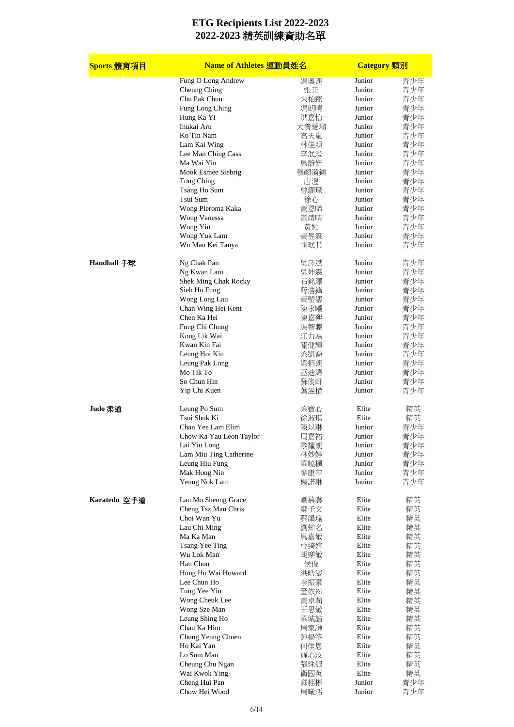| Sports 體育項目  | Name of Athletes 運動員姓名                     | <b>Category</b> 類別 |                  |            |
|--------------|--------------------------------------------|--------------------|------------------|------------|
|              | Fung O Long Andrew                         | 馮奧朗                | Junior           | 青少年        |
|              | Cheung Ching                               | 張正                 | Junior           | 青少年        |
|              | Chu Pak Chun                               | 朱柏臻                | Junior           | 青少年        |
|              | Fung Long Ching                            | 馮朗晴                | Junior           | 青少年        |
|              | Hung Ka Yi                                 | 洪嘉怡                | Junior           | 青少年        |
|              | Inukai Aru                                 | 犬養愛瑠               | Junior           | 青少年        |
|              | Ko Tin Nam                                 | 高天嵐                | Junior           | 青少年        |
|              | Lam Kai Wing                               | 林佳穎                | Junior           | 青少年        |
|              | Lee Man Ching Cass                         | 李泯澄                | Junior           | 青少年        |
|              | Ma Wai Yin                                 | 馬蔚妍                | Junior           | 青少年        |
|              | Mook Esmee Siebrig                         | 穆顏漪鎂               | Junior           | 青少年        |
|              | Tong Ching                                 | 唐澄                 | Junior           | 青少年        |
|              | Tsang Ho Sum                               | 曾灝琛                | Junior           | 青少年        |
|              | Tsui Sum                                   | 徐心                 | Junior           | 青少年        |
|              | Wong Pleroma Kaka                          | 黃恩晞                | Junior           | 青少年        |
|              | Wong Vanessa                               | 黃靖晴                | Junior           | 青少年        |
|              | Wong Yin                                   | 黃嫣                 | Junior           | 青少年        |
|              | Wong Yuk Lam                               | 黃昱霖                | Junior           | 青少年        |
|              | Wu Man Kei Tanya                           | 胡珉萁                | Junior           | 青少年        |
| Handball 手球  | Ng Chak Pan                                | 吳澤斌                | Junior           | 青少年        |
|              | Ng Kwan Lam                                | 吳坤霖                | Junior           | 青少年        |
|              | Shek Ming Chak Rocky                       | 石銘澤                | Junior           | 青少年        |
|              | Sieh Ho Fung                               | 薛浩鋒                | Junior           | 青少年        |
|              | Wong Long Lau                              | 黃塱鎏                | Junior           | 青少年        |
|              | Chan Wing Hei Kent                         | 陳永曦                | Junior           | 青少年        |
|              | Chen Ka Hei                                | 陳嘉熙                | Junior           | 青少年        |
|              | Fung Chi Chung                             | 馮智聰                | Junior           | 青少年        |
|              | Kong Lik Wai                               | 江力為                | Junior           | 青少年        |
|              | Kwan Kin Fai                               | 關健輝                | Junior           | 青少年        |
|              | Leung Hoi Kiu                              | 梁凱喬                | Junior           | 青少年        |
|              |                                            |                    | Junior           |            |
|              | Leung Pak Long<br>Mo Tik To                | 梁栢朗                | Junior           | 青少年        |
|              |                                            | 巫迪濤                |                  | 青少年        |
|              | So Chun Hin<br>Yip Chi Kuen                | 蘇俊軒<br>葉滋權         | Junior<br>Junior | 青少年<br>青少年 |
| Judo 柔道      | Leung Po Sum                               | 梁寶心                | Elite            | 精英         |
|              | Tsui Shuk Ki                               | 徐淑琪                | Elite            | 精英         |
|              | Chan Yee Lam Elim                          | 陳以琳                | Junior           | 青少年        |
|              | Chow Ka Yau Leon Taylor                    | 周嘉祐                | Junior           | 青少年        |
|              | Lai Yiu Long                               | 黎耀朗                | Junior           | 青少年        |
|              | Lam Miu Ting Catherine                     | 林妙婷                | Junior           | 青少年        |
|              | Leung Hiu Fung                             | 梁曉楓                | Junior           | 青少年        |
|              | Mak Hong Nin                               |                    | Junior           |            |
|              |                                            | 麥康年                | Junior           | 青少年        |
|              | Yeung Nok Lam                              | 楊諾琳                |                  | 青少年        |
| Karatedo 空手道 | Lau Mo Sheung Grace<br>Cheng Tsz Man Chris | 劉慕裳<br>鄭子文         | Elite<br>Elite   | 精英<br>精英   |
|              | Choi Wan Yu                                |                    | Elite            |            |
|              |                                            | 蔡韻瑜                |                  | 精英         |
|              | Lau Chi Ming                               | 劉知名                | Elite            | 精英         |
|              | Ma Ka Man                                  | 馬嘉敏                | Elite            | 精英         |
|              | Tsang Yee Ting                             | 曾綺婷                | Elite            | 精英         |
|              | Wu Lok Man                                 | 胡樂敏                | Elite            | 精英         |
|              | Hau Chun                                   | 侯俊                 | Elite            | 精英         |
|              | Hung Ho Wai Howard                         | 洪晧崴                | Elite            | 精英         |
|              | Lee Chun Ho                                | 李振豪                | Elite            | 精英         |
|              | Tung Yee Yin                               | 董依然                | Elite            | 精英         |
|              | Wong Cheuk Lee                             | 黃卓莉                | Elite            | 精英         |
|              | Wong Sze Man                               | 王思敏                | Elite            | 精英         |
|              | Leung Shing Ho                             | 梁城誥                | Elite            | 精英         |
|              | Chau Ka Him                                | 周家謙                | Elite            | 精英         |
|              | Chung Yeung Chuen                          | 鍾揚筌                | Elite            | 精英         |
|              | Ho Kai Yan                                 | 何佳恩                | Elite            | 精英         |
|              | Lo Sum Man                                 | 羅心汶                | Elite            | 精英         |
|              | Cheung Chu Ngan                            | 張珠銀                | Elite            | 精英         |
|              | Wai Kwok Ying                              | 衛國英                | Elite            | 精英         |
|              | Cheng Hui Pan                              | 鄭栩彬                | Junior           | 青少年        |
|              | Chow Hei Wood                              | 周曦活                | Junior           | 青少年        |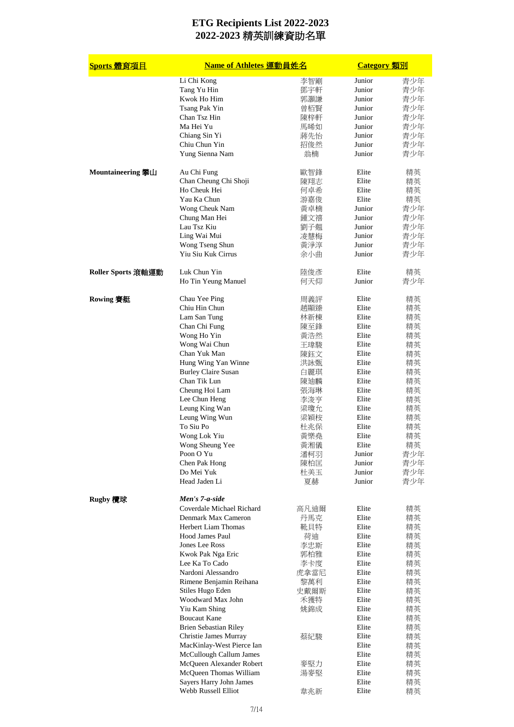| <u>Sports 體育項目</u> | Name of Athletes 運動員姓名                             |      | Category 類別 |          |
|--------------------|----------------------------------------------------|------|-------------|----------|
|                    | Li Chi Kong                                        | 李智剛  | Junior      | 青少年      |
|                    | Tang Yu Hin                                        | 鄧宇軒  | Junior      | 青少年      |
|                    | Kwok Ho Him                                        | 郭灝謙  | Junior      | 青少年      |
|                    | Tsang Pak Yin                                      | 曾栢賢  | Junior      | 青少年      |
|                    | Chan Tsz Hin                                       | 陳梓軒  | Junior      | 青少年      |
|                    | Ma Hei Yu                                          | 馬晞如  | Junior      | 青少年      |
|                    | Chiang Sin Yi                                      | 蔣先怡  | Junior      | 青少年      |
|                    | Chiu Chun Yin                                      | 招俊然  | Junior      | 青少年      |
|                    | Yung Sienna Nam                                    | 翁楠   | Junior      | 青少年      |
|                    |                                                    |      |             |          |
| Mountaineering 攀山  | Au Chi Fung                                        | 歐智鋒  | Elite       | 精英       |
|                    | Chan Cheung Chi Shoji                              | 陳翔志  | Elite       | 精英       |
|                    | Ho Cheuk Hei                                       | 何卓希  | Elite       | 精英       |
|                    | Yau Ka Chun                                        | 游嘉俊  | Elite       | 精英       |
|                    | Wong Cheuk Nam                                     | 黃卓楠  | Junior      | 青少年      |
|                    | Chung Man Hei                                      | 鍾文禧  | Junior      | 青少年      |
|                    | Lau Tsz Kiu                                        | 劉子翹  | Junior      | 青少年      |
|                    | Ling Wai Mui                                       | 凌慧梅  | Junior      | 青少年      |
|                    | Wong Tseng Shun                                    | 黃淨淳  | Junior      | 青少年      |
|                    | Yiu Siu Kuk Cirrus                                 | 余小曲  | Junior      | 青少年      |
| Roller Sports 滾軸運動 | Luk Chun Yin                                       | 陸俊彥  | Elite       | 精英       |
|                    | Ho Tin Yeung Manuel                                | 何天仰  | Junior      | 青少年      |
| Rowing 賽艇          | Chau Yee Ping                                      | 周義評  | Elite       | 精英       |
|                    | Chiu Hin Chun                                      | 趙顯臻  | Elite       | 精英       |
|                    | Lam San Tung                                       | 林新棟  | Elite       | 精英       |
|                    | Chan Chi Fung                                      | 陳至鋒  | Elite       | 精英       |
|                    | Wong Ho Yin                                        | 黃浩然  | Elite       | 精英       |
|                    | Wong Wai Chun                                      | 王瑋駿  | Elite       | 精英       |
|                    | Chan Yuk Man                                       | 陳鈺文  | Elite       | 精英       |
|                    | Hung Wing Yan Winne                                | 洪詠甄  | Elite       | 精英       |
|                    | <b>Burley Claire Susan</b>                         | 白麗琪  | Elite       | 精英       |
|                    | Chan Tik Lun                                       | 陳廸麟  | Elite       | 精英       |
|                    | Cheung Hoi Lam                                     | 張海琳  | Elite       | 精英       |
|                    | Lee Chun Heng                                      | 李浚亨  | Elite       | 精英       |
|                    | Leung King Wan                                     | 梁瓊允  | Elite       | 精英       |
|                    | Leung Wing Wun                                     | 梁穎桉  | Elite       | 精英       |
|                    | To Siu Po                                          | 杜兆保  | Elite       | 精英       |
|                    | Wong Lok Yiu                                       | 黃樂堯  | Elite       | 精英       |
|                    | Wong Sheung Yee                                    | 貢湘儀  | Elite       | 精英       |
|                    | Poon O Yu                                          | 潘柯羽  | Junior      | 青少年      |
|                    | Chen Pak Hong                                      | 陳柏匡  | Junior      | 青少年      |
|                    | Do Mei Yuk                                         | 杜美玉  | Junior      | 青少年      |
|                    | Head Jaden Li                                      | 夏赫   | Junior      | 青少年      |
| Rugby 欖球           | Men's 7-a-side                                     |      |             |          |
|                    | Coverdale Michael Richard                          | 高凡迪爾 | Elite       | 精英       |
|                    | Denmark Max Cameron                                | 丹馬克  | Elite       | 精英       |
|                    | <b>Herbert Liam Thomas</b>                         | 靴貝特  | Elite       | 精英       |
|                    | Hood James Paul                                    | 荷迪   | Elite       | 精英       |
|                    | Jones Lee Ross                                     | 李忠斯  | Elite       | 精英       |
|                    | Kwok Pak Nga Eric                                  | 郭柏雅  | Elite       | 精英       |
|                    | Lee Ka To Cado                                     | 李卡度  | Elite       | 精英       |
|                    | Nardoni Alessandro                                 | 虎拿當尼 | Elite       | 精英       |
|                    | Rimene Benjamin Reihana                            | 黎萬利  | Elite       | 精英       |
|                    | Stiles Hugo Eden                                   | 史戴爾斯 | Elite       | 精英       |
|                    | Woodward Max John                                  | 禾獲特  | Elite       | 精英       |
|                    | Yiu Kam Shing                                      | 姚錦成  | Elite       | 精英       |
|                    | <b>Boucaut Kane</b>                                |      | Elite       | 精英       |
|                    | <b>Brien Sebastian Riley</b>                       |      | Elite       | 精英       |
|                    | Christie James Murray                              | 蔡紀駿  | Elite       | 精英       |
|                    | MacKinlay-West Pierce Ian                          |      | Elite       | 精英       |
|                    |                                                    |      | Elite       |          |
|                    | McCullough Callum James                            |      | Elite       | 精英       |
|                    | McQueen Alexander Robert<br>McQueen Thomas William | 麥堅力  | Elite       | 精英       |
|                    | Sayers Harry John James                            | 湯麥堅  | Elite       | 精英       |
|                    | Webb Russell Elliot                                | 韋兆新  | Elite       | 精英<br>精英 |
|                    |                                                    |      |             |          |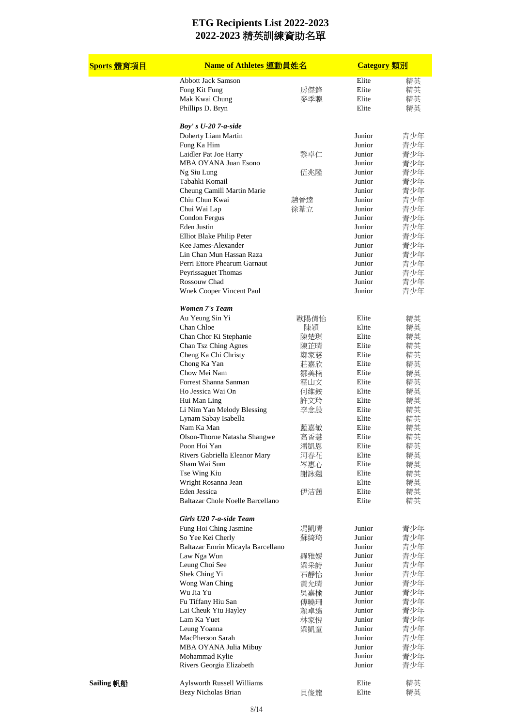| <u>Sports 體育項目</u> | Name of Athletes 運動員姓名                            |      | <b>Category</b> 類別 |            |
|--------------------|---------------------------------------------------|------|--------------------|------------|
|                    | <b>Abbott Jack Samson</b>                         |      | Elite              | 精英         |
|                    | Fong Kit Fung                                     | 房傑鋒  | Elite              | 精英         |
|                    | Mak Kwai Chung                                    | 麥季聰  | Elite              | 精英         |
|                    | Phillips D. Bryn                                  |      | Elite              | 精英         |
|                    | Boy's $U-20$ 7-a-side                             |      |                    |            |
|                    | Doherty Liam Martin                               |      | Junior             | 青少年        |
|                    | Fung Ka Him                                       |      | Junior             | 青少年        |
|                    | Laidler Pat Joe Harry                             | 黎卓仁  | Junior             | 青少年        |
|                    | MBA OYANA Juan Esono                              |      | Junior             | 青少年        |
|                    | Ng Siu Lung                                       | 伍兆隆  | Junior             | 青少年        |
|                    | Tabahki Komail                                    |      | Junior             | 青少年        |
|                    | Cheung Camill Martin Marie                        |      | Junior             | 青少年        |
|                    | Chiu Chun Kwai                                    | 趙晉逵  | Junior             | 青少年        |
|                    | Chui Wai Lap                                      | 徐葦立  | Junior             | 青少年        |
|                    | Condon Fergus                                     |      | Junior             | 青少年        |
|                    | Eden Justin                                       |      | Junior             | 青少年        |
|                    | Elliot Blake Philip Peter                         |      | Junior             | 青少年        |
|                    | Kee James-Alexander                               |      | Junior             | 青少年        |
|                    | Lin Chan Mun Hassan Raza                          |      | Junior             | 青少年        |
|                    | Perri Ettore Phearum Garnaut                      |      | Junior             | 青少年        |
|                    |                                                   |      | Junior             | 青少年        |
|                    | Peyrissaguet Thomas<br>Rossouw Chad               |      |                    |            |
|                    |                                                   |      | Junior             | 青少年        |
|                    | Wnek Cooper Vincent Paul                          |      | Junior             | 青少年        |
|                    | <b>Women 7's Team</b>                             |      |                    |            |
|                    | Au Yeung Sin Yi                                   | 歐陽倩怡 | Elite              | 精英         |
|                    | Chan Chloe                                        | 陳穎   | Elite              | 精英         |
|                    | Chan Chor Ki Stephanie                            | 陳楚琪  | Elite              | 精英         |
|                    | Chan Tsz Ching Agnes                              | 陳芷晴  | Elite              | 精英         |
|                    | Cheng Ka Chi Christy                              | 鄭家慈  | Elite              | 精英         |
|                    | Chong Ka Yan                                      | 莊嘉欣  | Elite              | 精英         |
|                    | Chow Mei Nam                                      | 鄒美楠  | Elite              | 精英         |
|                    | Forrest Shanna Sanman                             | 霍山文  | Elite              | 精英         |
|                    | Ho Jessica Wai On                                 | 何維銨  | Elite              | 精英         |
|                    | Hui Man Ling                                      | 許文玲  | Elite              | 精英         |
|                    | Li Nim Yan Melody Blessing                        | 李念殷  | Elite              | 精英         |
|                    | Lynam Sabay Isabella                              |      | Elite              | 精英         |
|                    | Nam Ka Man                                        | 監嘉敏  | Elite              | 精英         |
|                    | Olson-Thorne Natasha Shangwe                      | 高香慧  | Elite              | 精英         |
|                    | Poon Hoi Yan                                      | 潘凱恩  | Elite              | 精英         |
|                    | Rivers Gabriella Eleanor Mary                     | 河春花  | Elite              | 精英         |
|                    | Sham Wai Sum                                      | 岑惠心  | Elite              | 精英         |
|                    | Tse Wing Kiu                                      | 謝詠翹  | Elite              | 精英         |
|                    | Wright Rosanna Jean                               |      | Elite              | 精英         |
|                    | Eden Jessica                                      | 伊洁茜  | Elite              | 精英         |
|                    | Baltazar Chole Noelle Barcellano                  |      | Elite              | 精英         |
|                    | Girls U20 7-a-side Team                           |      |                    |            |
|                    | Fung Hoi Ching Jasmine                            | 馮凱晴  | Junior             | 青少年        |
|                    | So Yee Kei Cherly                                 | 蘇綺琦  | Junior             | 青少年        |
|                    | Baltazar Emrin Micayla Barcellano                 |      | Junior             | 青少年        |
|                    | Law Nga Wun                                       | 羅雅媛  | Junior             | 青少年        |
|                    | Leung Choi See                                    | 梁采詩  | Junior             | 青少年        |
|                    | Shek Ching Yi                                     | 石靜怡  | Junior             | 青少年        |
|                    | Wong Wan Ching                                    | 黃允晴  | Junior             | 青少年        |
|                    | Wu Jia Yu                                         | 吳嘉榆  | Junior             | 青少年        |
|                    | Fu Tiffany Hiu San                                | 傅曉珊  | Junior             | 青少年        |
|                    | Lai Cheuk Yiu Hayley                              | 賴卓遙  | Junior             | 青少年        |
|                    | Lam Ka Yuet                                       |      | Junior             | 青少年        |
|                    | Leung Yoanna                                      | 林家悅  | Junior             | 青少年        |
|                    | MacPherson Sarah                                  | 梁凱童  | Junior             | 青少年        |
|                    |                                                   |      | Junior             |            |
|                    | MBA OYANA Julia Mibuy                             |      | Junior             | 青少年        |
|                    | Mohammad Kylie<br>Rivers Georgia Elizabeth        |      | Junior             | 青少年<br>青少年 |
|                    |                                                   |      |                    |            |
| Sailing 帆船         | Aylsworth Russell Williams<br>Bezy Nicholas Brian | 貝俊龍  | Elite<br>Elite     | 精英<br>精英   |
|                    |                                                   |      |                    |            |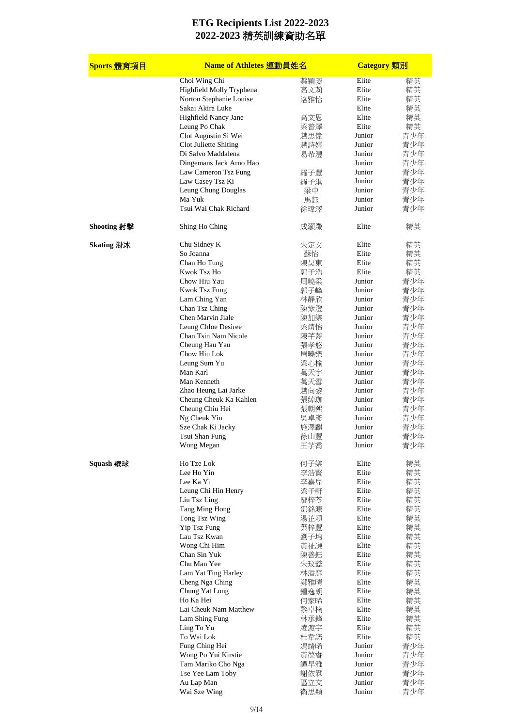| <b>Sports 體育項目</b> | <b>Name of Athletes 運動員姓名</b>                  |            | <b>Category</b> 類別 |            |
|--------------------|------------------------------------------------|------------|--------------------|------------|
|                    | Choi Wing Chi                                  | 蔡穎姿        | Elite              | 精英         |
|                    | Highfield Molly Tryphena                       | 高文莉        | Elite              | 精英         |
|                    | Norton Stephanie Louise                        | 洛雅怡        | Elite              | 精英         |
|                    | Sakai Akira Luke                               |            | Elite              | 精英         |
|                    | Highfield Nancy Jane                           | 高文思        | Elite              | 精英         |
|                    | Leung Po Chak                                  | 梁普澤        | Elite<br>Junior    | 精英         |
|                    | Clot Augustin Si Wei<br>Clot Juliette Shiting  | 趙思偉<br>趙詩婷 | Junior             | 青少年<br>青少年 |
|                    | Di Salvo Maddalena                             | 易希澧        | Junior             | 青少年        |
|                    | Dingemans Jack Arno Hao                        |            | Junior             | 青少年        |
|                    | Law Cameron Tsz Fung                           | 羅子豐        | Junior             | 青少年        |
|                    | Law Casey Tsz Ki                               | 羅子淇        | Junior             | 青少年        |
|                    | Leung Chung Douglas                            | 梁中         | Junior             | 青少年        |
|                    | Ma Yuk                                         | 馬鈺         | Junior             | 青少年        |
|                    | Tsui Wai Chak Richard                          | 徐瑋澤        | Junior             | 青少年        |
| Shooting 射擊        | Shing Ho Ching                                 | 成灝澂        | Elite              | 精英         |
| Skating 滑冰         | Chu Sidney K                                   | 朱定文        | Elite              | 精英         |
|                    | So Joanna                                      | 蘇怡         | Elite              | 精英         |
|                    | Chan Ho Tung                                   | 陳昊東        | Elite              | 精英         |
|                    | Kwok Tsz Ho<br>Chow Hiu Yau                    | 郭子浩<br>周曉柔 | Elite<br>Junior    | 精英<br>青少年  |
|                    | <b>Kwok Tsz Fung</b>                           | 郭子峰        | Junior             | 青少年        |
|                    | Lam Ching Yan                                  | 林靜欣        | Junior             | 青少年        |
|                    | Chan Tsz Ching                                 | 陳紫澄        | Junior             | 青少年        |
|                    | Chen Marvin Jiale                              | 陳加樂        | Junior             | 青少年        |
|                    | Leung Chloe Desiree                            | 梁靖怡        | Junior             | 青少年        |
|                    | Chan Tsin Nam Nicole                           | 陳芊藍        | Junior             | 青少年        |
|                    | Cheung Hau Yau                                 | 張孝悠        | Junior             | 青少年        |
|                    | Chow Hiu Lok                                   | 周曉樂        | Junior             | 青少年        |
|                    | Leung Sum Yu                                   | 梁心榆        | Junior             | 青少年        |
|                    | Man Karl                                       | 萬天宇        | Junior             | 青少年        |
|                    | Man Kenneth                                    | 萬天雪        | Junior             | 青少年        |
|                    | Zhao Heung Lai Jarke<br>Cheung Cheuk Ka Kahlen | 趙向黎<br>張綽珈 | Junior<br>Junior   | 青少年<br>青少年 |
|                    | Cheung Chiu Hei                                | 張朝熙        | Junior             | 青少年        |
|                    | Ng Cheuk Yin                                   | 吳卓彥        | Junior             | 青少年        |
|                    | Sze Chak Ki Jacky                              | 施澤麒        | Junior             | 青少年        |
|                    | Tsui Shan Fung                                 | 徐山豐        | Junior             | 青少年        |
|                    | Wong Megan                                     | 王芋喬        | Junior             | 青少年        |
| Squash 壁球          | Ho Tze Lok                                     | 何子樂        | Elite              | 精英         |
|                    | Lee Ho Yin                                     | 李浩賢        | Elite              | 精英         |
|                    | Lee Ka Yi                                      | 李嘉兒        | Elite              | 精英         |
|                    | Leung Chi Hin Henry                            | 梁子軒        | Elite<br>Elite     | 精英         |
|                    | Liu Tsz Ling<br>Tang Ming Hong                 | 廖梓芩<br>鄧銘漮 | Elite              | 精英<br>精英   |
|                    | Tong Tsz Wing                                  | 湯芷穎        | Elite              | 精英         |
|                    | Yip Tsz Fung                                   | 葉梓豐        | Elite              | 精英         |
|                    | Lau Tsz Kwan                                   | 劉子均        | Elite              | 精英         |
|                    | Wong Chi Him                                   | 黃祉謙        | Elite              | 精英         |
|                    | Chan Sin Yuk                                   | 陳善鈺        | Elite              | 精英         |
|                    | Chu Man Yee                                    | 朱玟懿        | Elite              | 精英         |
|                    | Lam Yat Ting Harley                            | 林溢庭        | Elite              | 精英         |
|                    | Cheng Nga Ching                                | 鄭雅晴        | Elite              | 精英         |
|                    | Chung Yat Long                                 | 鍾逸朗        | Elite              | 精英         |
|                    | Ho Ka Hei<br>Lai Cheuk Nam Matthew             | 何家晞        | Elite<br>Elite     | 精英         |
|                    | Lam Shing Fung                                 | 黎卓楠<br>林承鋒 | Elite              | 精英<br>精英   |
|                    | Ling To Yu                                     | 凌渡宇        | Elite              | 精英         |
|                    | To Wai Lok                                     | 杜韋諾        | Elite              | 精英         |
|                    | Fung Ching Hei                                 | 馮靖晞        | Junior             | 青少年        |
|                    | Wong Po Yui Kirstie                            | 黃葆睿        | Junior             | 青少年        |
|                    | Tam Mariko Cho Nga                             | 譚早雅        | Junior             | 青少年        |
|                    | Tse Yee Lam Toby                               | 謝依霖        | Junior             | 青少年        |
|                    | Au Lap Man                                     | 區立文        | Junior             | 青少年        |
|                    | Wai Sze Wing                                   | 衛思穎        | Junior             | 青少年        |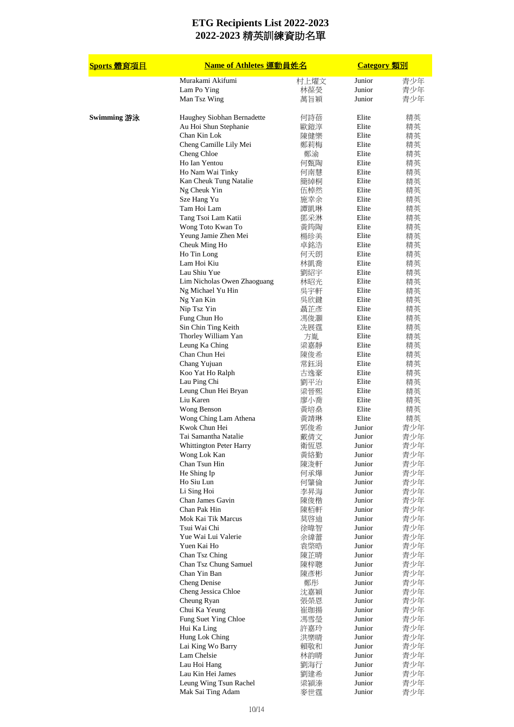| <u>Sports 體育項目</u> | Name of Athletes 運動員姓名          |            | <b>Category</b> 類別 |          |
|--------------------|---------------------------------|------------|--------------------|----------|
|                    | Murakami Akifumi                | 村上燿文       | Junior             | 青少年      |
|                    | Lam Po Ying                     | 林葆熒        | Junior             | 青少年      |
|                    | Man Tsz Wing                    | 萬旨穎        | Junior             | 青少年      |
| Swimming 游泳        | Haughey Siobhan Bernadette      | 何詩蓓        | Elite              | 精英       |
|                    | Au Hoi Shun Stephanie           | 歐鎧淳        | Elite              | 精英       |
|                    | Chan Kin Lok                    | 陳健樂        | Elite              | 精英       |
|                    | Cheng Camille Lily Mei          | 鄭莉梅        | Elite              | 精英       |
|                    | Cheng Chloe                     | 鄭渝         | Elite              | 精英       |
|                    | Ho Ian Yentou                   | 何甄陶        | Elite              | 精英       |
|                    | Ho Nam Wai Tinky                | 何南慧        | Elite              | 精英       |
|                    | Kan Cheuk Tung Natalie          | 簡綽桐        | Elite              | 精英       |
|                    | Ng Cheuk Yin                    | 伍棹然        | Elite              | 精英       |
|                    | Sze Hang Yu                     | 施幸余        | Elite              | 精英       |
|                    | Tam Hoi Lam                     | 譚凱琳        | Elite              | 精英       |
|                    | Tang Tsoi Lam Katii             | 鄧采淋        | Elite              | 精英       |
|                    | Wong Toto Kwan To               | 黃筠陶        | Elite              | 精英       |
|                    | Yeung Jamie Zhen Mei            | 楊珍美        | Elite              | 精英       |
|                    | Cheuk Ming Ho                   | 卓銘浩        | Elite              | 精英       |
|                    | Ho Tin Long                     | 何天朗        | Elite              | 精英       |
|                    | Lam Hoi Kiu<br>Lau Shiu Yue     | 林凱喬        | Elite              | 精英       |
|                    | Lim Nicholas Owen Zhaoguang     | 劉紹宇        | Elite<br>Elite     | 精英       |
|                    |                                 | 林昭光        | Elite              | 精英       |
|                    | Ng Michael Yu Hin<br>Ng Yan Kin | 吳宇軒        | Elite              | 精英       |
|                    | Nip Tsz Yin                     | 吳欣鍵<br>聶芷彥 | Elite              | 精英<br>精英 |
|                    | Fung Chun Ho                    | 馮俊灝        | Elite              | 精英       |
|                    | Sin Chin Ting Keith             | 冼展霆        | Elite              | 精英       |
|                    | Thorley William Yan             | 方胤         | Elite              | 精英       |
|                    | Leung Ka Ching                  | 梁嘉靜        | Elite              | 精英       |
|                    | Chan Chun Hei                   | 陳俊希        | Elite              | 精英       |
|                    | Chang Yujuan                    | 常鈺涓        | Elite              | 精英       |
|                    | Koo Yat Ho Ralph                | 古逸豪        | Elite              | 精英       |
|                    | Lau Ping Chi                    | 劉平治        | Elite              | 精英       |
|                    | Leung Chun Hei Bryan            | 梁晉熙        | Elite              | 精英       |
|                    | Liu Karen                       | 廖小喬        | Elite              | 精英       |
|                    | Wong Benson                     | 黃培燊        | Elite              | 精英       |
|                    | Wong Ching Lam Athena           | 黃靖琳        | Elite              | 精英       |
|                    | Kwok Chun Hei                   | 郭俊希        | Junior             | 青少年      |
|                    | Tai Samantha Natalie            | 戴倩文        | Junior             | 青少年      |
|                    | Whittington Peter Harry         | 衛恆恩        | Junior             | 青少年      |
|                    | Wong Lok Kan                    | 黃絡勤        | Junior             | 青少年      |
|                    | Chan Tsun Hin                   | 陳浚軒        | Junior             | 青少年      |
|                    | He Shing Ip                     | 何承燁        | Junior             | 青少年      |
|                    | Ho Siu Lun                      | 何肇倫        | Junior             | 青少年      |
|                    | Li Sing Hoi                     | 李昇海        | Junior             | 青少年      |
|                    | Chan James Gavin                | 陳俊楷        | Junior             | 青少年      |
|                    | Chan Pak Hin                    | 陳栢軒        | Junior             | 青少年      |
|                    | Mok Kai Tik Marcus              | 莫啓迪        | Junior             | 青少年      |
|                    | Tsui Wai Chi                    | 徐暐智        | Junior             | 青少年      |
|                    | Yue Wai Lui Valerie             | 余緯蕾        | Junior             | 青少年      |
|                    | Yuen Kai Ho                     | 袁棨晧        | Junior             | 青少年      |
|                    | Chan Tsz Ching                  | 陳芷晴        | Junior             | 青少年      |
|                    | Chan Tsz Chung Samuel           | 陳梓聰        | Junior             | 青少年      |
|                    | Chan Yin Ban                    | 陳彥彬        | Junior             | 青少年      |
|                    | <b>Cheng Denise</b>             | 鄭彤         | Junior             | 青少年      |
|                    | Cheng Jessica Chloe             | 沈嘉穎        | Junior             | 青少年      |
|                    | Cheung Ryan                     | 張榮恩        | Junior             | 青少年      |
|                    | Chui Ka Yeung                   | 崔珈揚        | Junior             | 青少年      |
|                    | Fung Suet Ying Chloe            | 馮雪瑩        | Junior             | 青少年      |
|                    | Hui Ka Ling                     | 許嘉玲        | Junior             | 青少年      |
|                    | Hung Lok Ching                  | 洪樂晴        | Junior             | 青少年      |
|                    | Lai King Wo Barry               | 賴敬和        | Junior             | 青少年      |
|                    | Lam Chelsie                     | 林韵晴        | Junior             | 青少年      |
|                    | Lau Hoi Hang                    | 劉海行        | Junior             | 青少年      |
|                    | Lau Kin Hei James               | 劉建希        | Junior             | 青少年      |
|                    | Leung Wing Tsun Rachel          | 梁潁溱        | Junior             | 青少年      |
|                    | Mak Sai Ting Adam               | 麥世霆        | Junior             | 青少年      |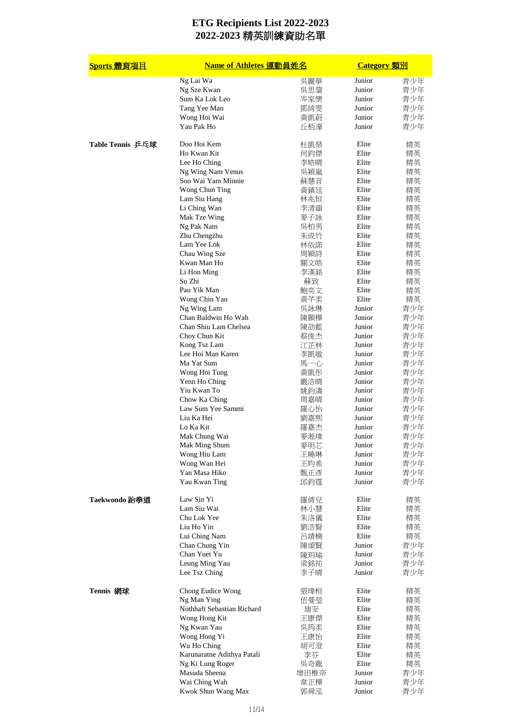| Sports 體育項目      | <b>Name of Athletes 運動員姓名</b>      |            | <b>Category</b> 類別 |     |
|------------------|------------------------------------|------------|--------------------|-----|
|                  | Ng Lai Wa                          | 吳麗華        | Junior             | 青少年 |
|                  | Ng Sze Kwan                        | 吳思鋆        | Junior             | 青少年 |
|                  | Sum Ka Lok Leo                     | 岑家樂        | Junior             | 青少年 |
|                  | Tang Yee Man                       | 鄧綺雯        | Junior             | 青少年 |
|                  | Wong Hoi Wai                       | 黃凱蔚        | Junior             | 青少年 |
|                  | Yau Pak Ho                         | 丘栢濠        | Junior             | 青少年 |
| Table Tennis 乒乓球 | Doo Hoi Kem                        | 杜凱琹        | Elite              | 精英  |
|                  | Ho Kwan Kit                        | 何鈞傑        | Elite              | 精英  |
|                  | Lee Ho Ching                       | 李皓晴        | Elite              | 精英  |
|                  | Ng Wing Nam Venus                  | 吳穎嵐        | Elite              | 精英  |
|                  | Soo Wai Yam Minnie                 | 蘇慧音        | Elite              | 精英  |
|                  | Wong Chun Ting                     | 黃鎮廷        | Elite              | 精英  |
|                  | Lam Siu Hang                       | 林兆恒        | Elite              | 精英  |
|                  | Li Ching Wan                       | 李清韻        | Elite              | 精英  |
|                  | Mak Tze Wing                       | 麥子詠        | Elite              | 精英  |
|                  | Ng Pak Nam                         | 吳柏男        | Elite              | 精英  |
|                  | Zhu Chengzhu                       | 朱成竹        | Elite              | 精英  |
|                  | Lam Yee Lok                        | 林依諾        | Elite              | 精英  |
|                  | Chau Wing Sze                      | 周穎詩        | Elite              | 精英  |
|                  | Kwan Man Ho                        | 關文皓        | Elite              | 精英  |
|                  | Li Hon Ming                        | 李漢銘        | Elite              | 精英  |
|                  | Su Zhi                             | 蘇致         | Elite              | 精英  |
|                  | Pau Yik Man                        | 鮑奕文        | Elite              | 精英  |
|                  | Wong Chin Yau                      | 黃芊柔        | Elite              | 精英  |
|                  | Ng Wing Lam                        | 吳詠琳        | Junior             | 青少年 |
|                  | Chan Baldwin Ho Wah                | 陳顥樺        | Junior             | 青少年 |
|                  | Chan Shiu Lam Chelsea              | 陳劭藍        | Junior             | 青少年 |
|                  | Choy Chun Kit                      | 蔡俊杰        | Junior             | 青少年 |
|                  | Kong Tsz Lam                       | 江芷林        | Junior             | 青少年 |
|                  | Lee Hoi Man Karen                  | 李凱敏        | Junior             | 青少年 |
|                  | Ma Yat Sum                         | 馬一心        | Junior             | 青少年 |
|                  | Wong Hoi Tung                      | 黃凱形        | Junior             | 青少年 |
|                  | Yenn Ho Ching                      |            | Junior             |     |
|                  | Yiu Kwan To                        | 嚴浩晴<br>姚鈞濤 | Junior             | 青少年 |
|                  |                                    |            | Junior             | 青少年 |
|                  | Chow Ka Ching<br>Law Sum Yee Sammi | 周嘉晴        | Junior             | 青少年 |
|                  |                                    | 羅心怡        |                    | 青少年 |
|                  | Liu Ka Hei                         | 劉嘉熙        | Junior<br>Junior   | 青少年 |
|                  | Lo Ka Kit                          | 羅嘉杰        |                    | 青少年 |
|                  | Mak Chung Wai                      | 麥淞瑋        | Junior             | 青少年 |
|                  | Mak Ming Shum                      | 麥明芯        | Junior             | 青少年 |
|                  | Wong Hiu Lam                       | 王曉琳        | Junior             | 青少年 |
|                  | Wong Wan Hei                       | 王昀希        | Junior             | 青少年 |
|                  | Yan Masa Hiko                      | 甄正彥        | Junior             | 青少年 |
|                  | Yau Kwan Ting                      | 邱鈞霆        | Junior             | 青少年 |
| Taekwondo 跆拳道    | Law Sin Yi                         | 羅倩兒        | Elite              | 精英  |
|                  | Lam Siu Wai                        | 林小慧        | Elite              | 精英  |
|                  | Chu Lok Yee                        | 朱洛儀        | Elite              | 精英  |
|                  | Liu Ho Yin                         | 劉浩賢        | Elite              | 精英  |
|                  | Lui Ching Nam                      | 呂靖楠        | Elite              | 精英  |
|                  | Chan Chung Yin                     | 陳頌賢        | Junior             | 青少年 |
|                  | Chan Yuet Yu                       | 陳玥瑜        | Junior             | 青少年 |
|                  | Leung Ming Yau                     | 梁銘祐        | Junior             | 青少年 |
|                  | Lee Tsz Ching                      | 李子晴        | Junior             | 青少年 |
| Tennis 網球        | Chong Eudice Wong                  | 張瑋桓        | Elite              | 精英  |
|                  | Ng Man Ying                        | 伍曼瑩        | Elite              | 精英  |
|                  | Nothhaft Sebastian Richard         | 廸安         | Elite              | 精英  |
|                  | Wong Hong Kit                      | 王康傑        | Elite              | 精英  |
|                  | Ng Kwan Yau                        | 吳筠柔        | Elite              | 精英  |
|                  | Wong Hong Yi                       | 王康怡        | Elite              | 精英  |
|                  | Wu Ho Ching                        | 胡可澄        | Elite              | 精英  |
|                  | Karunaratne Adithya Patali         | 李芬         | Elite              | 精英  |
|                  | Ng Ki Lung Roger                   | 吳奇龍        | Elite              | 精英  |
|                  | Masuda Sheena                      | 增田椎奈       | Junior             | 青少年 |
|                  | Wai Ching Wah                      | 韋正樺        | Junior             | 青少年 |
|                  | Kwok Shun Wang Max                 | 郭舜泓        | Junior             | 青少年 |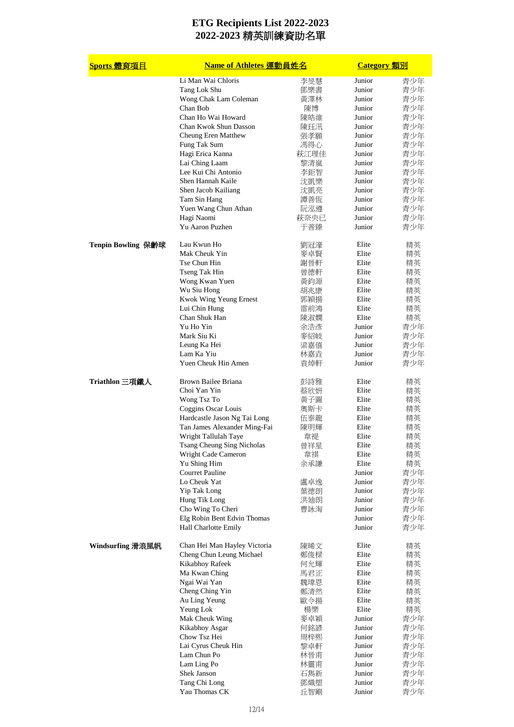| Sports 體育項目        | Name of Athletes 運動員姓名                              |             | <b>Category</b> 類別 |            |
|--------------------|-----------------------------------------------------|-------------|--------------------|------------|
|                    | Li Man Wai Chloris                                  | 李旻慧         | Junior             | 青少年        |
|                    | Tang Lok Shu                                        | 鄧樂書         | Junior             | 青少年        |
|                    | Wong Chak Lam Coleman                               | 黃澤林         | Junior             | 青少年        |
|                    | Chan Bob                                            | 陳博          | Junior             | 青少年        |
|                    | Chan Ho Wai Howard                                  | 陳皓維         | Junior             | 青少年        |
|                    | Chan Kwok Shun Dasson                               | 陳珏汛         | Junior             | 青少年        |
|                    | Cheung Eren Matthew                                 | 張孝願         | Junior             | 青少年        |
|                    | Fung Tak Sum                                        | 馮得心         | Junior             | 青少年        |
|                    | Hagi Erica Kanna                                    | 萩江理佳        | Junior             | 青少年        |
|                    | Lai Ching Laam                                      | 黎清嵐         | Junior             | 青少年        |
|                    | Lee Kui Chi Antonio                                 | 李鉅智         | Junior             | 青少年        |
|                    | Shen Hannah Kaile                                   | 沈凱樂         | Junior             | 青少年        |
|                    | Shen Jacob Kailiang                                 | 沈凱亮         | Junior             | 青少年        |
|                    | Tam Sin Hang                                        | 譚善恆         | Junior             | 青少年        |
|                    | Yuen Wang Chun Athan                                | 阮泓遵         | Junior<br>Junior   | 青少年        |
|                    | Hagi Naomi<br>Yu Aaron Puzhen                       | 萩奈央已<br>于普臻 | Junior             | 青少年<br>青少年 |
| Tenpin Bowling 保齡球 | Lau Kwun Ho                                         | 劉冠濠         | Elite              | 精英         |
|                    | Mak Cheuk Yin                                       | 麥卓賢         | Elite              | 精英         |
|                    | Tse Chun Hin                                        | 謝晉軒         | Elite              | 精英         |
|                    | Tseng Tak Hin                                       | 曾德軒         | Elite              | 精英         |
|                    | Wong Kwan Yuen                                      | 黃鈞源         | Elite              | 精英         |
|                    | Wu Siu Hong                                         | 胡兆康         | Elite              | 精英         |
|                    | Kwok Wing Yeung Ernest                              | 郭穎揚         | Elite              | 精英         |
|                    | Lui Chin Hung                                       | 雷前鴻         | Elite              | 精英         |
|                    | Chan Shuk Han                                       | 陳淑嫻         | Elite              | 精英         |
|                    | Yu Ho Yin                                           | 余浩彥         | Junior             | 青少年        |
|                    | Mark Siu Ki                                         | 麥紹岐         | Junior             | 青少年        |
|                    | Leung Ka Hei                                        | 梁嘉僖         | Junior             | 青少年        |
|                    | Lam Ka Yiu                                          | 林嘉垚         | Junior             | 青少年        |
|                    | Yuen Cheuk Hin Amen                                 | 袁焯軒         | Junior             | 青少年        |
| Triathlon 三項鐵人     | Brown Bailee Briana                                 | 彭詩雅         | Elite              | 精英         |
|                    | Choi Yan Yin                                        | 蔡欣妍         | Elite              | 精英         |
|                    | Wong Tsz To                                         | 黃子圖         | Elite              | 精英         |
|                    | Coggins Oscar Louis                                 | 奧斯卡         | Elite              | 精英         |
|                    | Hardcastle Jason Ng Tai Long                        | 伍泰龍         | Elite              | 精英         |
|                    | Tan James Alexander Ming-Fai                        | 陳明輝         | Elite              | 精英         |
|                    | Wright Tallulah Taye                                | 韋禔          | Elite              | 精英         |
|                    | Tsang Cheung Sing Nicholas                          | 曾祥星         | Elite              | 精英         |
|                    | Wright Cade Cameron                                 | 韋祺          | Elite              | 精英         |
|                    | Yu Shing Him                                        | 余承謙         | Elite              | 精英         |
|                    | <b>Courret Pauline</b>                              |             | Junior             | 青少年        |
|                    | Lo Cheuk Yat                                        | 盧卓逸         | Junior             | 青少年        |
|                    | Yip Tak Long                                        | 葉德朗         | Junior             | 青少年        |
|                    | Hung Tik Long                                       | 洪廸朗         | Junior             | 青少年        |
|                    | Cho Wing To Cheri                                   | 曹詠淘         | Junior<br>Junior   | 青少年        |
|                    | Elg Robin Bent Edvin Thomas<br>Hall Charlotte Emily |             | Junior             | 青少年<br>青少年 |
| Windsurfing 滑浪風帆   | Chan Hei Man Hayley Victoria                        | 陳晞文         | Elite              | 精英         |
|                    | Cheng Chun Leung Michael                            | 鄭俊樑         | Elite              | 精英         |
|                    | Kikabhoy Rafeek                                     | 何允輝         | Elite              | 精英         |
|                    | Ma Kwan Ching                                       | 馬君正         | Elite              | 精英         |
|                    | Ngai Wai Yan                                        | 魏瑋恩         | Elite              | 精英         |
|                    | Cheng Ching Yin                                     | 鄭清然         | Elite              | 精英         |
|                    | Au Ling Yeung                                       | 歐令揚         | Elite              | 精英         |
|                    | Yeung Lok                                           | 楊樂          | Elite              | 精英         |
|                    | Mak Cheuk Wing                                      | 麥卓穎         | Junior             | 青少年        |
|                    | Kikabhoy Asgar                                      | 何銘諺         | Junior             | 青少年        |
|                    | Chow Tsz Hei                                        | 周梓熙         | Junior             | 青少年        |
|                    | Lai Cyrus Cheuk Hin                                 | 黎卓軒         | Junior             | 青少年        |
|                    | Lam Chun Po                                         | 林晉甫         | Junior             | 青少年        |
|                    | Lam Ling Po                                         | 林靈甫         | Junior             | 青少年        |
|                    | Shek Janson                                         | 石雋新         | Junior             | 青少年        |
|                    | Tang Chi Long                                       | 鄧熾塱         | Junior             | 青少年        |
|                    | Yau Thomas CK                                       | 丘智剛         | Junior             | 青少年        |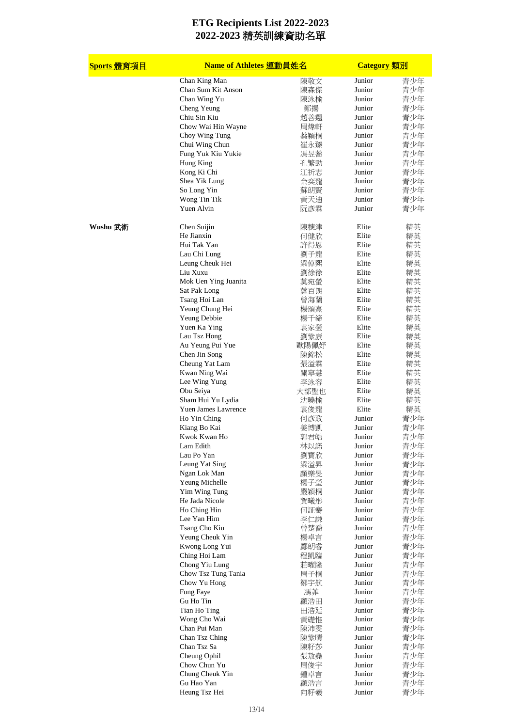| Sports 體育項目 | <b>Name of Athletes 運動員姓名</b> |      | <b>Category</b> 類別 |     |
|-------------|-------------------------------|------|--------------------|-----|
|             | Chan King Man                 | 陳敬文  | Junior             | 青少年 |
|             | Chan Sum Kit Anson            | 陳森傑  | Junior             | 青少年 |
|             | Chan Wing Yu                  | 陳泳榆  | Junior             | 青少年 |
|             | Cheng Yeung                   | 鄭揚   | Junior             | 青少年 |
|             | Chiu Sin Kiu                  | 趙善翹  | Junior             | 青少年 |
|             | Chow Wai Hin Wayne            | 周煒軒  | Junior             | 青少年 |
|             | Choy Wing Tung                | 蔡穎桐  | Junior             | 青少年 |
|             | Chui Wing Chun                | 崔永臻  | Junior             | 青少年 |
|             | Fung Yuk Kiu Yukie            | 馮昱蕎  | Junior             | 青少年 |
|             | Hung King                     | 孔繁勁  | Junior             | 青少年 |
|             |                               |      | Junior             |     |
|             | Kong Ki Chi                   | 江祈志  |                    | 青少年 |
|             | Shea Yik Lung                 | 佘奕龍  | Junior             | 青少年 |
|             | So Long Yin                   | 蘇朗賢  | Junior             | 青少年 |
|             | Wong Tin Tik                  | 黃天迪  | Junior             | 青少年 |
|             | Yuen Alvin                    | 阮彥霖  | Junior             | 青少年 |
| Wushu 武術    | Chen Suijin                   | 陳穗津  | Elite              | 精英  |
|             | He Jianxin                    | 何健欣  | Elite              | 精英  |
|             | Hui Tak Yan                   | 許得恩  | Elite              | 精英  |
|             | Lau Chi Lung                  | 劉子龍  | Elite              | 精英  |
|             | Leung Cheuk Hei               | 梁倬熙  | Elite              | 精英  |
|             | Liu Xuxu                      | 劉徐徐  | Elite              | 精英  |
|             | Mok Uen Ying Juanita          | 莫宛螢  | Elite              | 精英  |
|             | Sat Pak Long                  | 薩百朗  | Elite              | 精英  |
|             | Tsang Hoi Lan                 | 曾海蘭  | Elite              | 精英  |
|             | Yeung Chung Hei               | 楊頌熹  | Elite              | 精英  |
|             | Yeung Debbie                  | 楊千締  | Elite              | 精英  |
|             | Yuen Ka Ying                  | 袁家鎣  | Elite              | 精英  |
|             | Lau Tsz Hong                  | 劉紫康  | Elite              | 精英  |
|             |                               |      | Elite              |     |
|             | Au Yeung Pui Yue              | 歐陽佩妤 |                    | 精英  |
|             | Chen Jin Song                 | 陳錦松  | Elite              | 精英  |
|             | Cheung Yat Lam                | 張溢霖  | Elite              | 精英  |
|             | Kwan Ning Wai                 | 關寧慧  | Elite              | 精英  |
|             | Lee Wing Yung                 | 李泳容  | Elite              | 精英  |
|             | Obu Seiya                     | 大部聖也 | Elite              | 精英  |
|             | Sham Hui Yu Lydia             | 沈曉榆  | Elite              | 精英  |
|             | <b>Yuen James Lawrence</b>    | 袁俊龍  | Elite              | 精英  |
|             | Ho Yin Ching                  | 何彥政  | Junior             | 青少年 |
|             | Kiang Bo Kai                  | 姜博凱  | Junior             | 青少年 |
|             | Kwok Kwan Ho                  | 郭君皓  | Junior             | 青少年 |
|             | Lam Edith                     | 林以諾  | Junior             | 青少年 |
|             | Lau Po Yan                    | 劉寶欣  | Junior             | 青少年 |
|             | Leung Yat Sing                | 梁溢昇  | Junior             | 青少年 |
|             | Ngan Lok Man                  | 顏樂旻  | Junior             | 青少年 |
|             | Yeung Michelle                | 楊子瑩  | Junior             | 青少年 |
|             | Yim Wing Tung                 | 嚴穎桐  | Junior             | 青少年 |
|             | He Jada Nicole                | 賀曦彤  | Junior             | 青少年 |
|             | Ho Ching Hin                  | 何証騫  | Junior             | 青少年 |
|             | Lee Yan Him                   | 李仁謙  | Junior             | 青少年 |
|             |                               |      |                    |     |
|             | Tsang Cho Kiu                 | 曾楚喬  | Junior             | 青少年 |
|             | Yeung Cheuk Yin               | 楊卓言  | Junior             | 青少年 |
|             | Kwong Long Yui                | 鄺朗睿  | Junior             | 青少年 |
|             | Ching Hoi Lam                 | 程凱臨  | Junior             | 青少年 |
|             | Chong Yiu Lung                | 莊曜隆  | Junior             | 青少年 |
|             | Chow Tsz Tung Tania           | 周子桐  | Junior             | 青少年 |
|             | Chow Yu Hong                  | 鄒宇航  | Junior             | 青少年 |
|             | Fung Faye                     | 馮菲   | Junior             | 青少年 |
|             | Gu Ho Tin                     | 顧浩田  | Junior             | 青少年 |
|             | Tian Ho Ting                  | 田浩廷  | Junior             | 青少年 |
|             | Wong Cho Wai                  | 黃礎惟  | Junior             | 青少年 |
|             | Chan Pui Man                  | 陳沛雯  | Junior             | 青少年 |
|             | Chan Tsz Ching                | 陳紫晴  | Junior             | 青少年 |
|             | Chan Tsz Sa                   | 陳籽莎  | Junior             | 青少年 |
|             | Cheung Ophil                  | 張敖堯  | Junior             | 青少年 |
|             | Chow Chun Yu                  | 周俊宇  | Junior             | 青少年 |
|             | Chung Cheuk Yin               | 鍾卓言  | Junior             | 青少年 |
|             | Gu Hao Yan                    |      | Junior             |     |
|             | Heung Tsz Hei                 | 顧浩言  | Junior             | 青少年 |
|             |                               | 向籽羲  |                    | 青少年 |